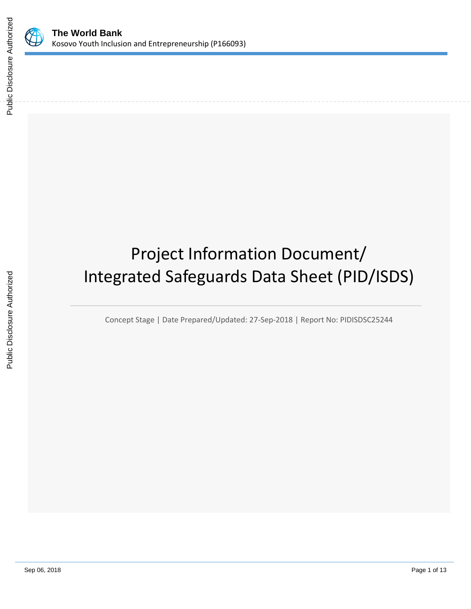

# Project Information Document/ Integrated Safeguards Data Sheet (PID/ISDS)

Concept Stage | Date Prepared/Updated: 27-Sep-2018 | Report No: PIDISDSC25244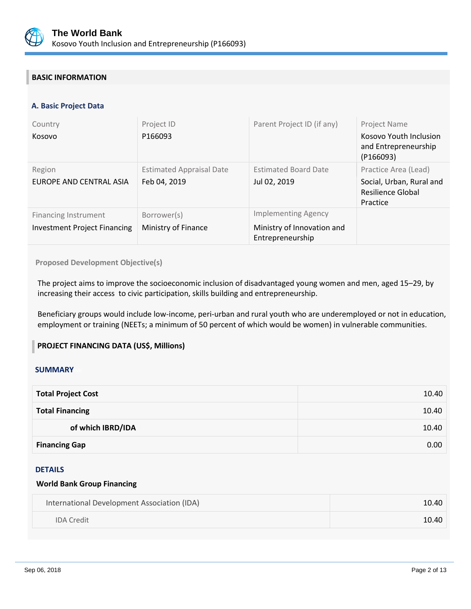

# **BASIC INFORMATION**

# **A. Basic Project Data**

| Country<br>Kosovo                                                  | Project ID<br>P166093                           | Parent Project ID (if any)                                                   | Project Name<br>Kosovo Youth Inclusion<br>and Entrepreneurship<br>(P166093)       |
|--------------------------------------------------------------------|-------------------------------------------------|------------------------------------------------------------------------------|-----------------------------------------------------------------------------------|
| Region<br>EUROPE AND CENTRAL ASIA                                  | <b>Estimated Appraisal Date</b><br>Feb 04, 2019 | <b>Estimated Board Date</b><br>Jul 02, 2019                                  | Practice Area (Lead)<br>Social, Urban, Rural and<br>Resilience Global<br>Practice |
| <b>Financing Instrument</b><br><b>Investment Project Financing</b> | Borrower(s)<br>Ministry of Finance              | <b>Implementing Agency</b><br>Ministry of Innovation and<br>Entrepreneurship |                                                                                   |

**Proposed Development Objective(s)** 

The project aims to improve the socioeconomic inclusion of disadvantaged young women and men, aged 15–29, by increasing their access to civic participation, skills building and entrepreneurship.

Beneficiary groups would include low-income, peri-urban and rural youth who are underemployed or not in education, employment or training (NEETs; a minimum of 50 percent of which would be women) in vulnerable communities.

# **PROJECT FINANCING DATA (US\$, Millions)**

#### **SUMMARY**

| <b>Total Project Cost</b> | 10.40 |
|---------------------------|-------|
| <b>Total Financing</b>    | 10.40 |
| of which IBRD/IDA         | 10.40 |
| <b>Financing Gap</b>      | 0.00  |

#### DETAILS

#### **World Bank Group Financing**

| International Development Association (IDA) | 10.40 |
|---------------------------------------------|-------|
| <b>IDA Credit</b>                           | 10.40 |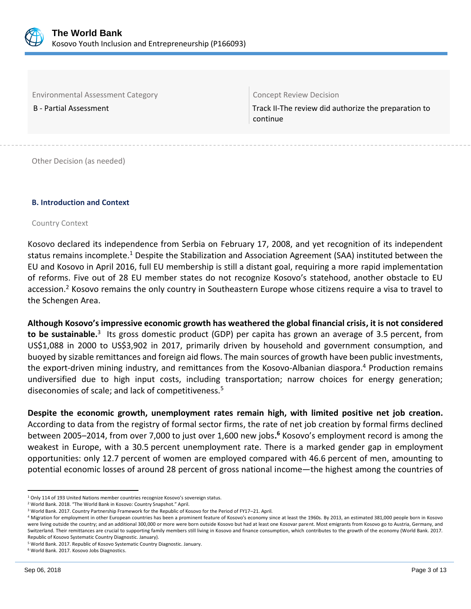

Environmental Assessment Category Concept Review Decision

B - Partial Assessment Track II-The review did authorize the preparation to continue

Other Decision (as needed)

#### **B. Introduction and Context**

#### Country Context

Kosovo declared its independence from Serbia on February 17, 2008, and yet recognition of its independent status remains incomplete.<sup>1</sup> Despite the Stabilization and Association Agreement (SAA) instituted between the EU and Kosovo in April 2016, full EU membership is still a distant goal, requiring a more rapid implementation of reforms. Five out of 28 EU member states do not recognize Kosovo's statehood, another obstacle to EU accession.<sup>2</sup> Kosovo remains the only country in Southeastern Europe whose citizens require a visa to travel to the Schengen Area.

**Although Kosovo's impressive economic growth has weathered the global financial crisis, it is not considered**  to be sustainable.<sup>3</sup> Its gross domestic product (GDP) per capita has grown an average of 3.5 percent, from US\$1,088 in 2000 to US\$3,902 in 2017, primarily driven by household and government consumption, and buoyed by sizable remittances and foreign aid flows. The main sources of growth have been public investments, the export-driven mining industry, and remittances from the Kosovo-Albanian diaspora.<sup>4</sup> Production remains undiversified due to high input costs, including transportation; narrow choices for energy generation; diseconomies of scale; and lack of competitiveness.<sup>5</sup>

**Despite the economic growth, unemployment rates remain high, with limited positive net job creation.**  According to data from the registry of formal sector firms, the rate of net job creation by formal firms declined between 2005–2014, from over 7,000 to just over 1,600 new jobs**. <sup>6</sup>** Kosovo's employment record is among the weakest in Europe, with a 30.5 percent unemployment rate. There is a marked gender gap in employment opportunities: only 12.7 percent of women are employed compared with 46.6 percent of men, amounting to potential economic losses of around 28 percent of gross national income—the highest among the countries of

 $\overline{a}$ 

<sup>1</sup> Only 114 of 193 United Nations member countries recognize Kosovo's sovereign status.

<sup>2</sup> World Bank. 2018. "The World Bank in Kosovo: Country Snapshot." April.

<sup>3</sup> World Bank. 2017. Country Partnership Framework for the Republic of Kosovo for the Period of FY17–21. April.

<sup>4</sup> Migration for employment in other European countries has been a prominent feature of Kosovo's economy since at least the 1960s. By 2013, an estimated 381,000 people born in Kosovo were living outside the country; and an additional 300,000 or more were born outside Kosovo but had at least one Kosovar parent. Most emigrants from Kosovo go to Austria, Germany, and Switzerland. Their remittances are crucial to supporting family members still living in Kosovo and finance consumption, which contributes to the growth of the economy (World Bank. 2017. Republic of Kosovo Systematic Country Diagnostic. January).

<sup>5</sup> World Bank. 2017. Republic of Kosovo Systematic Country Diagnostic. January.

<sup>6</sup> World Bank. 2017. Kosovo Jobs Diagnostics.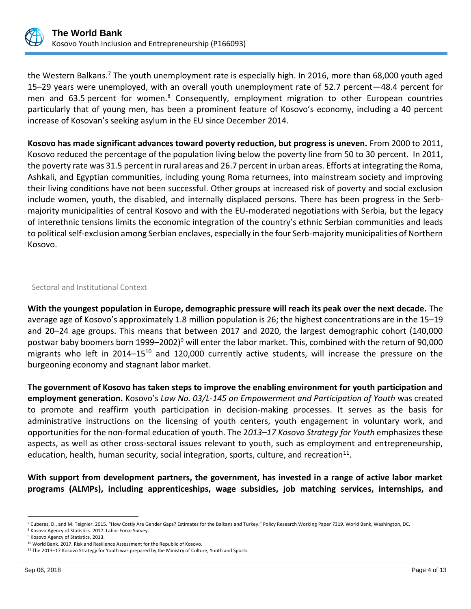

the Western Balkans.<sup>7</sup> The youth unemployment rate is especially high. In 2016, more than 68,000 youth aged 15–29 years were unemployed, with an overall youth unemployment rate of 52.7 percent—48.4 percent for men and 63.5 percent for women.<sup>8</sup> Consequently, employment migration to other European countries particularly that of young men, has been a prominent feature of Kosovo's economy, including a 40 percent increase of Kosovan's seeking asylum in the EU since December 2014.

**Kosovo has made significant advances toward poverty reduction, but progress is uneven.** From 2000 to 2011, Kosovo reduced the percentage of the population living below the poverty line from 50 to 30 percent.In 2011, the poverty rate was 31.5 percent in rural areas and 26.7 percent in urban areas. Efforts at integrating the Roma, Ashkali, and Egyptian communities, including young Roma returnees, into mainstream society and improving their living conditions have not been successful. Other groups at increased risk of poverty and social exclusion include women, youth, the disabled, and internally displaced persons. There has been progress in the Serbmajority municipalities of central Kosovo and with the EU-moderated negotiations with Serbia, but the legacy of interethnic tensions limits the economic integration of the country's ethnic Serbian communities and leads to political self-exclusion among Serbian enclaves, especially in the four Serb-majority municipalities of Northern Kosovo.

Sectoral and Institutional Context

**With the youngest population in Europe, demographic pressure will reach its peak over the next decade.** The average age of Kosovo's approximately 1.8 million population is 26; the highest concentrations are in the 15–19 and 20–24 age groups. This means that between 2017 and 2020, the largest demographic cohort (140,000 postwar baby boomers born 1999–2002)<sup>9</sup> will enter the labor market. This, combined with the return of 90,000 migrants who left in 2014–15<sup>10</sup> and 120,000 currently active students, will increase the pressure on the burgeoning economy and stagnant labor market.

**The government of Kosovo has taken steps to improve the enabling environment for youth participation and employment generation.** Kosovo's *Law No. 03/L-145 on Empowerment and Participation of Youth* was created to promote and reaffirm youth participation in decision-making processes. It serves as the basis for administrative instructions on the licensing of youth centers, youth engagement in voluntary work, and opportunities for the non-formal education of youth. The 2*013–17 Kosovo Strategy for Youth* emphasizes these aspects, as well as other cross-sectoral issues relevant to youth, such as employment and entrepreneurship, education, health, human security, social integration, sports, culture, and recreation $^{11}$ .

**With support from development partners, the government, has invested in a range of active labor market programs (ALMPs), including apprenticeships, wage subsidies, job matching services, internships, and** 

 $\overline{a}$ <sup>7</sup> Cuberes, D., and M. Teignier. 2015. "How Costly Are Gender Gaps? Estimates for the Balkans and Turkey." Policy Research Working Paper 7319. World Bank, Washington, DC.

<sup>8</sup> Kosovo Agency of Statistics. 2017. Labor Force Survey.

<sup>9</sup> Kosovo Agency of Statistics. 2013.

<sup>10</sup> World Bank. 2017. Risk and Resilience Assessment for the Republic of Kosovo.

<sup>11</sup> The 2013–17 Kosovo Strategy for Youth was prepared by the Ministry of Culture, Youth and Sports.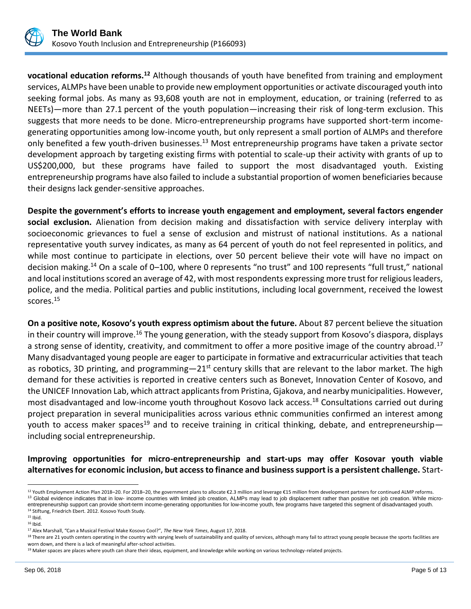

**vocational education reforms.<sup>12</sup>** Although thousands of youth have benefited from training and employment services, ALMPs have been unable to provide new employment opportunities or activate discouraged youth into seeking formal jobs. As many as 93,608 youth are not in employment, education, or training (referred to as NEETs)—more than 27.1 percent of the youth population—increasing their risk of long-term exclusion. This suggests that more needs to be done. Micro-entrepreneurship programs have supported short-term incomegenerating opportunities among low-income youth, but only represent a small portion of ALMPs and therefore only benefited a few youth-driven businesses.<sup>13</sup> Most entrepreneurship programs have taken a private sector development approach by targeting existing firms with potential to scale-up their activity with grants of up to US\$200,000, but these programs have failed to support the most disadvantaged youth. Existing entrepreneurship programs have also failed to include a substantial proportion of women beneficiaries because their designs lack gender-sensitive approaches.

**Despite the government's efforts to increase youth engagement and employment, several factors engender social exclusion.** Alienation from decision making and dissatisfaction with service delivery interplay with socioeconomic grievances to fuel a sense of exclusion and mistrust of national institutions. As a national representative youth survey indicates, as many as 64 percent of youth do not feel represented in politics, and while most continue to participate in elections, over 50 percent believe their vote will have no impact on decision making.<sup>14</sup> On a scale of 0–100, where 0 represents "no trust" and 100 represents "full trust," national and local institutions scored an average of 42, with most respondents expressing more trust for religious leaders, police, and the media. Political parties and public institutions, including local government, received the lowest scores.<sup>15</sup>

**On a positive note, Kosovo's youth express optimism about the future.** About 87 percent believe the situation in their country will improve.<sup>16</sup> The young generation, with the steady support from Kosovo's diaspora, displays a strong sense of identity, creativity, and commitment to offer a more positive image of the country abroad.<sup>17</sup> Many disadvantaged young people are eager to participate in formative and extracurricular activities that teach as robotics, 3D printing, and programming $-21<sup>st</sup>$  century skills that are relevant to the labor market. The high demand for these activities is reported in creative centers such as Bonevet, Innovation Center of Kosovo, and the UNICEF Innovation Lab, which attract applicants from Pristina, Gjakova, and nearby municipalities. However, most disadvantaged and low-income youth throughout Kosovo lack access.<sup>18</sup> Consultations carried out during project preparation in several municipalities across various ethnic communities confirmed an interest among youth to access maker spaces<sup>19</sup> and to receive training in critical thinking, debate, and entrepreneurshipincluding social entrepreneurship.

**Improving opportunities for micro-entrepreneurship and start-ups may offer Kosovar youth viable alternatives for economic inclusion, but access to finance and business support is a persistent challenge.** Start-

 $\overline{a}$ 

<sup>&</sup>lt;sup>12</sup> Youth Employment Action Plan 2018–20. For 2018–20, the government plans to allocate €2.3 million and leverage €15 million from development partners for continued ALMP reforms. 13 Global evidence indicates that in low- income countries with limited job creation, ALMPs may lead to job displacement rather than positive net job creation. While microentrepreneurship support can provide short-term income-generating opportunities for low-income youth, few programs have targeted this segment of disadvantaged youth.

<sup>14</sup> Stiftung, Friedrich Ebert. 2012. Kosovo Youth Study.

<sup>15</sup> Ibid.

<sup>16</sup> Ibid.

<sup>17</sup> Alex Marshall, "Can a Musical Festival Make Kosovo Cool?", *The New York Times*, August 17, 2018.

<sup>&</sup>lt;sup>18</sup> There are 21 youth centers operating in the country with varying levels of sustainability and quality of services, although many fail to attract young people because the sports facilities are worn down, and there is a lack of meaningful after-school activities.

<sup>&</sup>lt;sup>19</sup> Maker spaces are places where youth can share their ideas, equipment, and knowledge while working on various technology-related projects.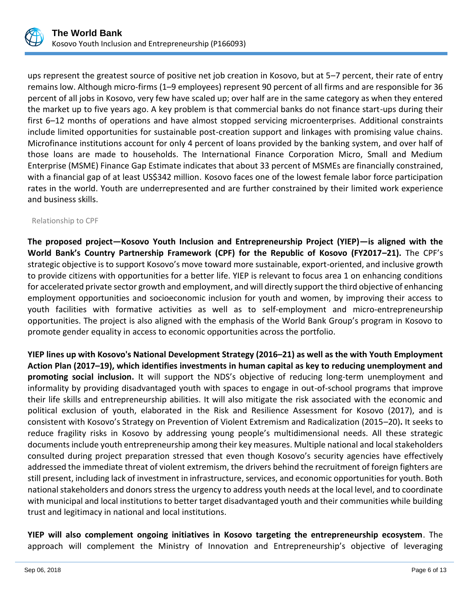

ups represent the greatest source of positive net job creation in Kosovo, but at 5–7 percent, their rate of entry remains low. Although micro-firms (1–9 employees) represent 90 percent of all firms and are responsible for 36 percent of all jobs in Kosovo, very few have scaled up; over half are in the same category as when they entered the market up to five years ago. A key problem is that commercial banks do not finance start-ups during their first 6–12 months of operations and have almost stopped servicing microenterprises. Additional constraints include limited opportunities for sustainable post-creation support and linkages with promising value chains. Microfinance institutions account for only 4 percent of loans provided by the banking system, and over half of those loans are made to households. The International Finance Corporation Micro, Small and Medium Enterprise (MSME) Finance Gap Estimate indicates that about 33 percent of MSMEs are financially constrained, with a financial gap of at least US\$342 million. Kosovo faces one of the lowest female labor force participation rates in the world. Youth are underrepresented and are further constrained by their limited work experience and business skills.

#### Relationship to CPF

**The proposed project—Kosovo Youth Inclusion and Entrepreneurship Project (YIEP)—is aligned with the World Bank's Country Partnership Framework (CPF) for the Republic of Kosovo (FY2017–21).** The CPF's strategic objective is to support Kosovo's move toward more sustainable, export-oriented, and inclusive growth to provide citizens with opportunities for a better life. YIEP is relevant to focus area 1 on enhancing conditions for accelerated private sector growth and employment, and will directly support the third objective of enhancing employment opportunities and socioeconomic inclusion for youth and women, by improving their access to youth facilities with formative activities as well as to self-employment and micro-entrepreneurship opportunities. The project is also aligned with the emphasis of the World Bank Group's program in Kosovo to promote gender equality in access to economic opportunities across the portfolio.

**YIEP lines up with Kosovo's National Development Strategy (2016–21) as well as the with Youth Employment Action Plan (2017–19), which identifies investments in human capital as key to reducing unemployment and promoting social inclusion.** It will support the NDS's objective of reducing long-term unemployment and informality by providing disadvantaged youth with spaces to engage in out-of-school programs that improve their life skills and entrepreneurship abilities. It will also mitigate the risk associated with the economic and political exclusion of youth, elaborated in the Risk and Resilience Assessment for Kosovo (2017), and is consistent with Kosovo's Strategy on Prevention of Violent Extremism and Radicalization (2015–20)**.** It seeks to reduce fragility risks in Kosovo by addressing young people's multidimensional needs. All these strategic documents include youth entrepreneurship among their key measures. Multiple national and local stakeholders consulted during project preparation stressed that even though Kosovo's security agencies have effectively addressed the immediate threat of violent extremism, the drivers behind the recruitment of foreign fighters are still present, including lack of investment in infrastructure, services, and economic opportunities for youth. Both national stakeholders and donors stress the urgency to address youth needs at the local level, and to coordinate with municipal and local institutions to better target disadvantaged youth and their communities while building trust and legitimacy in national and local institutions.

**YIEP will also complement ongoing initiatives in Kosovo targeting the entrepreneurship ecosystem**. The approach will complement the Ministry of Innovation and Entrepreneurship's objective of leveraging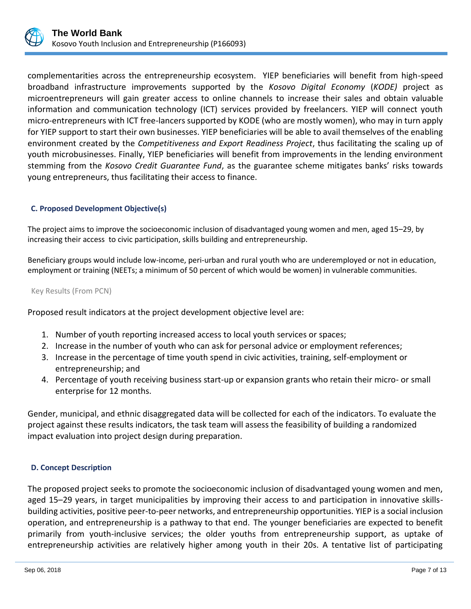

complementarities across the entrepreneurship ecosystem. YIEP beneficiaries will benefit from high-speed broadband infrastructure improvements supported by the *Kosovo Digital Economy* (*KODE)* project as microentrepreneurs will gain greater access to online channels to increase their sales and obtain valuable information and communication technology (ICT) services provided by freelancers. YIEP will connect youth micro-entrepreneurs with ICT free-lancers supported by KODE (who are mostly women), who may in turn apply for YIEP support to start their own businesses. YIEP beneficiaries will be able to avail themselves of the enabling environment created by the *Competitiveness and Export Readiness Project*, thus facilitating the scaling up of youth microbusinesses. Finally, YIEP beneficiaries will benefit from improvements in the lending environment stemming from the *Kosovo Credit Guarantee Fund*, as the guarantee scheme mitigates banks' risks towards young entrepreneurs, thus facilitating their access to finance.

# **C. Proposed Development Objective(s)**

The project aims to improve the socioeconomic inclusion of disadvantaged young women and men, aged 15–29, by increasing their access to civic participation, skills building and entrepreneurship.

Beneficiary groups would include low-income, peri-urban and rural youth who are underemployed or not in education, employment or training (NEETs; a minimum of 50 percent of which would be women) in vulnerable communities.

#### Key Results (From PCN)

Proposed result indicators at the project development objective level are:

- 1. Number of youth reporting increased access to local youth services or spaces;
- 2. Increase in the number of youth who can ask for personal advice or employment references;
- 3. Increase in the percentage of time youth spend in civic activities, training, self-employment or entrepreneurship; and
- 4. Percentage of youth receiving business start-up or expansion grants who retain their micro- or small enterprise for 12 months.

Gender, municipal, and ethnic disaggregated data will be collected for each of the indicators. To evaluate the project against these results indicators, the task team will assess the feasibility of building a randomized impact evaluation into project design during preparation.

# **D. Concept Description**

The proposed project seeks to promote the socioeconomic inclusion of disadvantaged young women and men, aged 15–29 years, in target municipalities by improving their access to and participation in innovative skillsbuilding activities, positive peer-to-peer networks, and entrepreneurship opportunities. YIEP is a social inclusion operation, and entrepreneurship is a pathway to that end. The younger beneficiaries are expected to benefit primarily from youth-inclusive services; the older youths from entrepreneurship support, as uptake of entrepreneurship activities are relatively higher among youth in their 20s. A tentative list of participating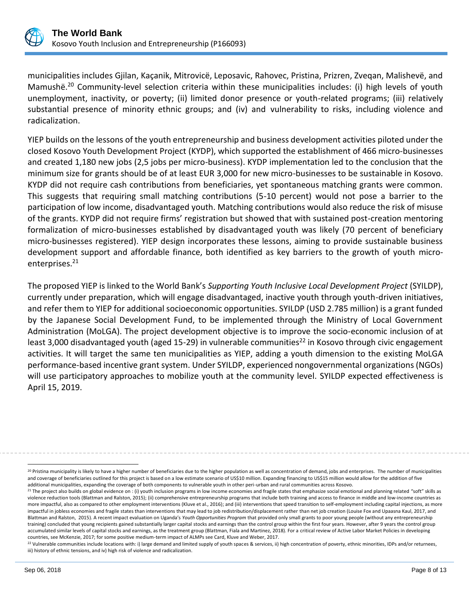

municipalities includes Gjilan, Kaçanik, Mitrovicë, Leposavic, Rahovec, Pristina, Prizren, Zveqan, Malishevë, and Mamushë.<sup>20</sup> Community-level selection criteria within these municipalities includes: (i) high levels of youth unemployment, inactivity, or poverty; (ii) limited donor presence or youth-related programs; (iii) relatively substantial presence of minority ethnic groups; and (iv) and vulnerability to risks, including violence and radicalization.

YIEP builds on the lessons of the youth entrepreneurship and business development activities piloted under the closed Kosovo Youth Development Project (KYDP), which supported the establishment of 466 micro-businesses and created 1,180 new jobs (2,5 jobs per micro-business). KYDP implementation led to the conclusion that the minimum size for grants should be of at least EUR 3,000 for new micro-businesses to be sustainable in Kosovo. KYDP did not require cash contributions from beneficiaries, yet spontaneous matching grants were common. This suggests that requiring small matching contributions (5-10 percent) would not pose a barrier to the participation of low income, disadvantaged youth. Matching contributions would also reduce the risk of misuse of the grants. KYDP did not require firms' registration but showed that with sustained post-creation mentoring formalization of micro-businesses established by disadvantaged youth was likely (70 percent of beneficiary micro-businesses registered). YIEP design incorporates these lessons, aiming to provide sustainable business development support and affordable finance, both identified as key barriers to the growth of youth microenterprises.<sup>21</sup>

The proposed YIEP is linked to the World Bank's *Supporting Youth Inclusive Local Development Project* (SYILDP), currently under preparation, which will engage disadvantaged, inactive youth through youth-driven initiatives, and refer them to YIEP for additional socioeconomic opportunities. SYILDP (USD 2.785 million) is a grant funded by the Japanese Social Development Fund, to be implemented through the Ministry of Local Government Administration (MoLGA). The project development objective is to improve the socio-economic inclusion of at least 3,000 disadvantaged youth (aged 15-29) in vulnerable communities<sup>22</sup> in Kosovo through civic engagement activities. It will target the same ten municipalities as YIEP, adding a youth dimension to the existing MoLGA performance-based incentive grant system. Under SYILDP, experienced nongovernmental organizations (NGOs) will use participatory approaches to mobilize youth at the community level. SYILDP expected effectiveness is April 15, 2019.

 $\overline{a}$ 

<sup>&</sup>lt;sup>20</sup> Pristina municipality is likely to have a higher number of beneficiaries due to the higher population as well as concentration of demand, jobs and enterprises. The number of municipalities and coverage of beneficiaries outlined for this project is based on a low estimate scenario of US\$10 million. Expanding financing to US\$15 million would allow for the addition of five additional municipalities, expanding the coverage of both components to vulnerable youth in other peri-urban and rural communities across Kosovo.

<sup>&</sup>lt;sup>21</sup> The project also builds on global evidence on : (i) youth inclusion programs in low income economies and fragile states that emphasize social emotional and planning related "soft" skills as violence reduction tools (Blattman and Ralston, 2015); (ii) comprehensive entrepreneurship programs that include both training and access to finance in middle and low-income countries as more impactful, also as compared to other employment interventions (Kluve et al., 2016); and (iii) interventions that speed transition to self-employment including capital injections, as more impactful in jobless economies and fragile states than interventions that may lead to job redistribution/displacement rather than net job creation (Louise Fox and Upaasna Kaul, 2017, and Blattman and Ralston, 2015). A recent impact evaluation on Uganda's *Youth Opportunities Program* that provided only small grants to poor young people (without any entrepreneurship training) concluded that young recipients gained substantially larger capital stocks and earnings than the control group within the first four years. However, after 9 years the control group accumulated similar levels of capital stocks and earnings, as the treatment group (Blattman, Fiala and Martinez, 2018). For a critical review of Active Labor Market Policies in developing countries, see McKenzie, 2017; for some positive medium-term impact of ALMPs see Card, Kluve and Weber, 2017.

<sup>22</sup> Vulnerable communities include locations with: i) large demand and limited supply of youth spaces & services, ii) high concentration of poverty, ethnic minorities, IDPs and/or returnees, iii) history of ethnic tensions, and iv) high risk of violence and radicalization.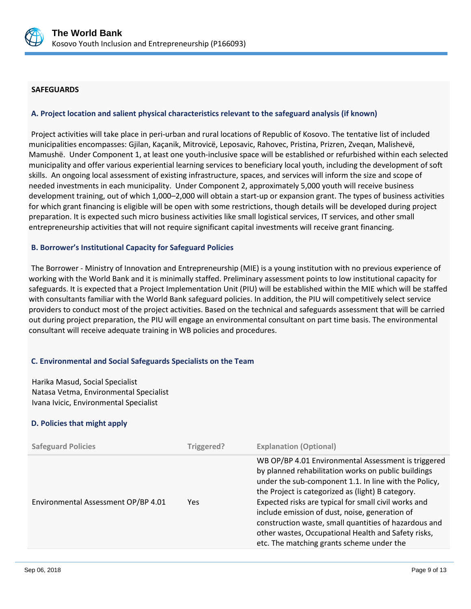

## **SAFEGUARDS**

#### **A. Project location and salient physical characteristics relevant to the safeguard analysis (if known)**

Project activities will take place in peri-urban and rural locations of Republic of Kosovo. The tentative list of included municipalities encompasses: Gjilan, Kaçanik, Mitrovicë, Leposavic, Rahovec, Pristina, Prizren, Zveqan, Malishevë, Mamushë. Under Component 1, at least one youth-inclusive space will be established or refurbished within each selected municipality and offer various experiential learning services to beneficiary local youth, including the development of soft skills. An ongoing local assessment of existing infrastructure, spaces, and services will inform the size and scope of needed investments in each municipality. Under Component 2, approximately 5,000 youth will receive business development training, out of which 1,000–2,000 will obtain a start-up or expansion grant. The types of business activities for which grant financing is eligible will be open with some restrictions, though details will be developed during project preparation. It is expected such micro business activities like small logistical services, IT services, and other small entrepreneurship activities that will not require significant capital investments will receive grant financing.

#### **B. Borrower's Institutional Capacity for Safeguard Policies**

The Borrower - Ministry of Innovation and Entrepreneurship (MIE) is a young institution with no previous experience of working with the World Bank and it is minimally staffed. Preliminary assessment points to low institutional capacity for safeguards. It is expected that a Project Implementation Unit (PIU) will be established within the MIE which will be staffed with consultants familiar with the World Bank safeguard policies. In addition, the PIU will competitively select service providers to conduct most of the project activities. Based on the technical and safeguards assessment that will be carried out during project preparation, the PIU will engage an environmental consultant on part time basis. The environmental consultant will receive adequate training in WB policies and procedures.

# **C. Environmental and Social Safeguards Specialists on the Team**

Harika Masud, Social Specialist Natasa Vetma, Environmental Specialist Ivana Ivicic, Environmental Specialist

# **D. Policies that might apply**

| <b>Safeguard Policies</b>           | Triggered? | <b>Explanation (Optional)</b>                                                                                                                                                                                                                                                                                                                                                                                                                                                                   |
|-------------------------------------|------------|-------------------------------------------------------------------------------------------------------------------------------------------------------------------------------------------------------------------------------------------------------------------------------------------------------------------------------------------------------------------------------------------------------------------------------------------------------------------------------------------------|
| Environmental Assessment OP/BP 4.01 | <b>Yes</b> | WB OP/BP 4.01 Environmental Assessment is triggered<br>by planned rehabilitation works on public buildings<br>under the sub-component 1.1. In line with the Policy,<br>the Project is categorized as (light) B category.<br>Expected risks are typical for small civil works and<br>include emission of dust, noise, generation of<br>construction waste, small quantities of hazardous and<br>other wastes, Occupational Health and Safety risks,<br>etc. The matching grants scheme under the |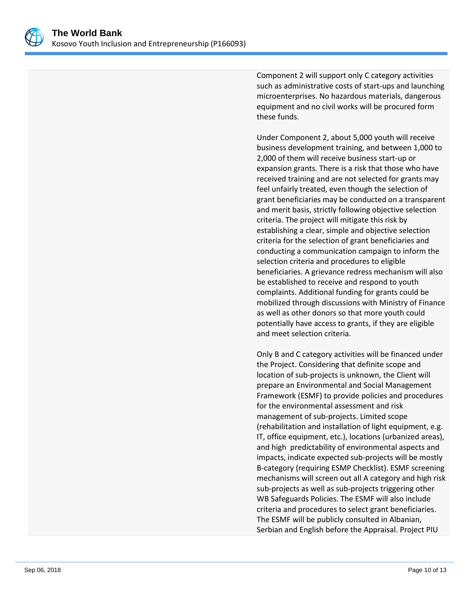

Component 2 will support only C category activities such as administrative costs of start-ups and launching microenterprises. No hazardous materials, dangerous equipment and no civil works will be procured form these funds.

Under Component 2, about 5,000 youth will receive business development training, and between 1,000 to 2,000 of them will receive business start-up or expansion grants. There is a risk that those who have received training and are not selected for grants may feel unfairly treated, even though the selection of grant beneficiaries may be conducted on a transparent and merit basis, strictly following objective selection criteria. The project will mitigate this risk by establishing a clear, simple and objective selection criteria for the selection of grant beneficiaries and conducting a communication campaign to inform the selection criteria and procedures to eligible beneficiaries. A grievance redress mechanism will also be established to receive and respond to youth complaints. Additional funding for grants could be mobilized through discussions with Ministry of Finance as well as other donors so that more youth could potentially have access to grants, if they are eligible and meet selection criteria.

Only B and C category activities will be financed under the Project. Considering that definite scope and location of sub-projects is unknown, the Client will prepare an Environmental and Social Management Framework (ESMF) to provide policies and procedures for the environmental assessment and risk management of sub-projects. Limited scope (rehabilitation and installation of light equipment, e.g. IT, office equipment, etc.), locations (urbanized areas), and high predictability of environmental aspects and impacts, indicate expected sub-projects will be mostly B-category (requiring ESMP Checklist). ESMF screening mechanisms will screen out all A category and high risk sub-projects as well as sub-projects triggering other WB Safeguards Policies. The ESMF will also include criteria and procedures to select grant beneficiaries. The ESMF will be publicly consulted in Albanian, Serbian and English before the Appraisal. Project PIU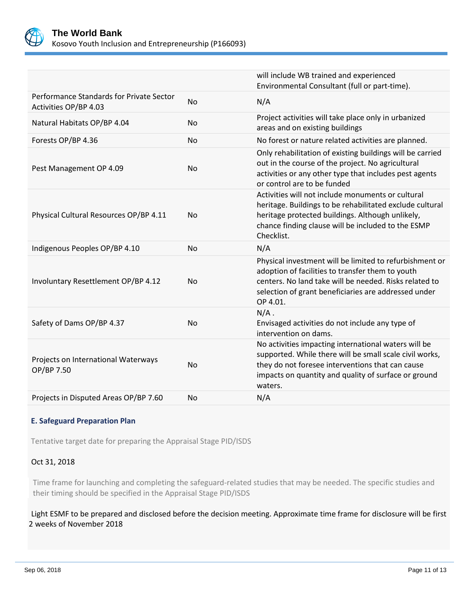

|                                                                   |           | will include WB trained and experienced<br>Environmental Consultant (full or part-time).                                                                                                                                                  |
|-------------------------------------------------------------------|-----------|-------------------------------------------------------------------------------------------------------------------------------------------------------------------------------------------------------------------------------------------|
| Performance Standards for Private Sector<br>Activities OP/BP 4.03 | <b>No</b> | N/A                                                                                                                                                                                                                                       |
| Natural Habitats OP/BP 4.04                                       | <b>No</b> | Project activities will take place only in urbanized<br>areas and on existing buildings                                                                                                                                                   |
| Forests OP/BP 4.36                                                | <b>No</b> | No forest or nature related activities are planned.                                                                                                                                                                                       |
| Pest Management OP 4.09                                           | <b>No</b> | Only rehabilitation of existing buildings will be carried<br>out in the course of the project. No agricultural<br>activities or any other type that includes pest agents<br>or control are to be funded                                   |
| Physical Cultural Resources OP/BP 4.11                            | <b>No</b> | Activities will not include monuments or cultural<br>heritage. Buildings to be rehabilitated exclude cultural<br>heritage protected buildings. Although unlikely,<br>chance finding clause will be included to the ESMP<br>Checklist.     |
| Indigenous Peoples OP/BP 4.10                                     | <b>No</b> | N/A                                                                                                                                                                                                                                       |
| Involuntary Resettlement OP/BP 4.12                               | <b>No</b> | Physical investment will be limited to refurbishment or<br>adoption of facilities to transfer them to youth<br>centers. No land take will be needed. Risks related to<br>selection of grant beneficiaries are addressed under<br>OP 4.01. |
| Safety of Dams OP/BP 4.37                                         | No        | $N/A$ .<br>Envisaged activities do not include any type of<br>intervention on dams.                                                                                                                                                       |
| Projects on International Waterways<br>OP/BP 7.50                 | No        | No activities impacting international waters will be<br>supported. While there will be small scale civil works,<br>they do not foresee interventions that can cause<br>impacts on quantity and quality of surface or ground<br>waters.    |
| Projects in Disputed Areas OP/BP 7.60                             | <b>No</b> | N/A                                                                                                                                                                                                                                       |

# **E. Safeguard Preparation Plan**

Tentative target date for preparing the Appraisal Stage PID/ISDS

# Oct 31, 2018

Time frame for launching and completing the safeguard-related studies that may be needed. The specific studies and their timing should be specified in the Appraisal Stage PID/ISDS

Light ESMF to be prepared and disclosed before the decision meeting. Approximate time frame for disclosure will be first 2 weeks of November 2018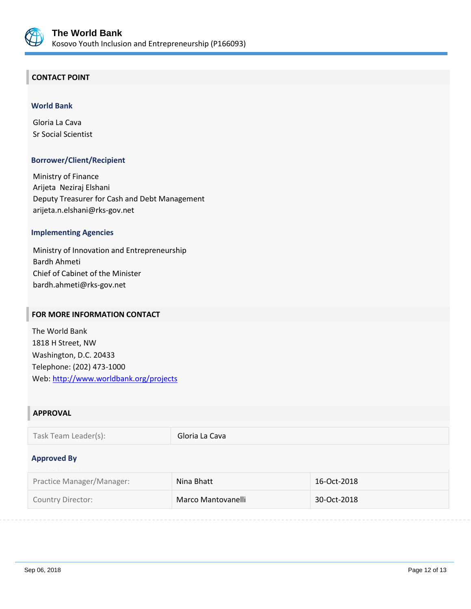

# **CONTACT POINT**

## **World Bank**

Gloria La Cava Sr Social Scientist

# **Borrower/Client/Recipient**

Ministry of Finance Arijeta Neziraj Elshani Deputy Treasurer for Cash and Debt Management arijeta.n.elshani@rks-gov.net

# **Implementing Agencies**

Ministry of Innovation and Entrepreneurship Bardh Ahmeti Chief of Cabinet of the Minister bardh.ahmeti@rks-gov.net

# **FOR MORE INFORMATION CONTACT**

The World Bank 1818 H Street, NW Washington, D.C. 20433 Telephone: (202) 473-1000 Web:<http://www.worldbank.org/projects>

# **APPROVAL**

#### **Approved By**

| Practice Manager/Manager: | Nina Bhatt         | 16-Oct-2018 |
|---------------------------|--------------------|-------------|
| Country Director:         | Marco Mantovanelli | 30-Oct-2018 |